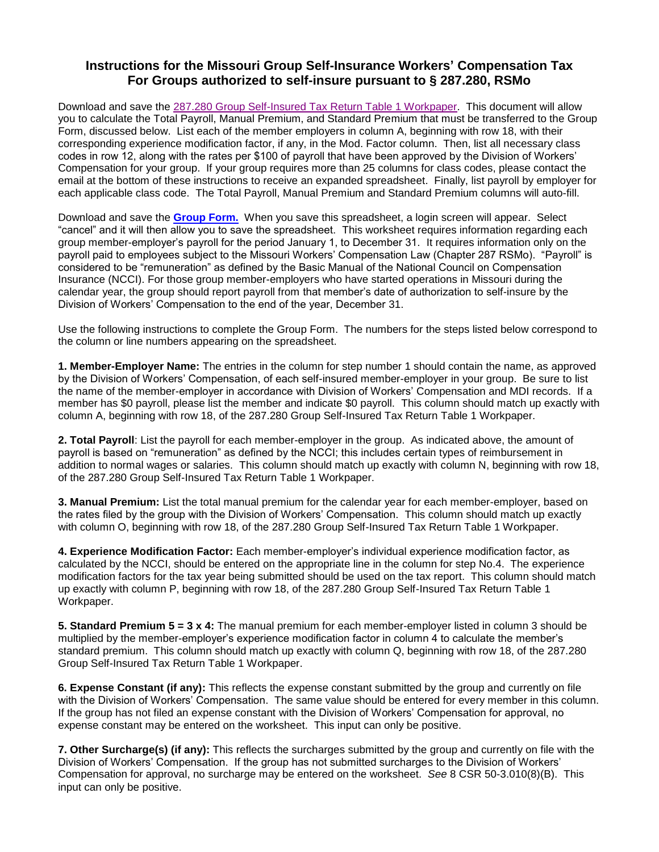## **Instructions for the Missouri Group Self-Insurance Workers' Compensation Tax For Groups authorized to self-insure pursuant to § 287.280, RSMo**

Download and save the [287.280 Group Self-Insured Tax Return Table 1 Workpaper.](https://insurance.mo.gov/industry/forms/documents/287-280-group-self-insured-workpaper.xls) This document will allow you to calculate the Total Payroll, Manual Premium, and Standard Premium that must be transferred to the Group Form, discussed below. List each of the member employers in column A, beginning with row 18, with their corresponding experience modification factor, if any, in the Mod. Factor column. Then, list all necessary class codes in row 12, along with the rates per \$100 of payroll that have been approved by the Division of Workers' Compensation for your group. If your group requires more than 25 columns for class codes, please contact the email at the bottom of these instructions to receive an expanded spreadsheet. Finally, list payroll by employer for each applicable class code. The Total Payroll, Manual Premium and Standard Premium columns will auto-fill.

Download and save the **[Group Form.](https://insurance.mo.gov/industry/forms/group_form10-10-14.xls)** When you save this spreadsheet, a login screen will appear. Select "cancel" and it will then allow you to save the spreadsheet. This worksheet requires information regarding each group member-employer's payroll for the period January 1, to December 31. It requires information only on the payroll paid to employees subject to the Missouri Workers' Compensation Law (Chapter 287 RSMo). "Payroll" is considered to be "remuneration" as defined by the Basic Manual of the National Council on Compensation Insurance (NCCI). For those group member-employers who have started operations in Missouri during the calendar year, the group should report payroll from that member's date of authorization to self-insure by the Division of Workers' Compensation to the end of the year, December 31.

Use the following instructions to complete the Group Form. The numbers for the steps listed below correspond to the column or line numbers appearing on the spreadsheet.

**1. Member-Employer Name:** The entries in the column for step number 1 should contain the name, as approved by the Division of Workers' Compensation, of each self-insured member-employer in your group. Be sure to list the name of the member-employer in accordance with Division of Workers' Compensation and MDI records. If a member has \$0 payroll, please list the member and indicate \$0 payroll. This column should match up exactly with column A, beginning with row 18, of the 287.280 Group Self-Insured Tax Return Table 1 Workpaper.

**2. Total Payroll**: List the payroll for each member-employer in the group. As indicated above, the amount of payroll is based on "remuneration" as defined by the NCCI; this includes certain types of reimbursement in addition to normal wages or salaries. This column should match up exactly with column N, beginning with row 18, of the 287.280 Group Self-Insured Tax Return Table 1 Workpaper.

**3. Manual Premium:** List the total manual premium for the calendar year for each member-employer, based on the rates filed by the group with the Division of Workers' Compensation. This column should match up exactly with column O, beginning with row 18, of the 287.280 Group Self-Insured Tax Return Table 1 Workpaper.

**4. Experience Modification Factor:** Each member-employer's individual experience modification factor, as calculated by the NCCI, should be entered on the appropriate line in the column for step No.4. The experience modification factors for the tax year being submitted should be used on the tax report. This column should match up exactly with column P, beginning with row 18, of the 287.280 Group Self-Insured Tax Return Table 1 Workpaper.

**5. Standard Premium 5 = 3 x 4:** The manual premium for each member-employer listed in column 3 should be multiplied by the member-employer's experience modification factor in column 4 to calculate the member's standard premium. This column should match up exactly with column Q, beginning with row 18, of the 287.280 Group Self-Insured Tax Return Table 1 Workpaper.

**6. Expense Constant (if any):** This reflects the expense constant submitted by the group and currently on file with the Division of Workers' Compensation. The same value should be entered for every member in this column. If the group has not filed an expense constant with the Division of Workers' Compensation for approval, no expense constant may be entered on the worksheet. This input can only be positive.

**7. Other Surcharge(s) (if any):** This reflects the surcharges submitted by the group and currently on file with the Division of Workers' Compensation. If the group has not submitted surcharges to the Division of Workers' Compensation for approval, no surcharge may be entered on the worksheet. *See* 8 CSR 50-3.010(8)(B). This input can only be positive.